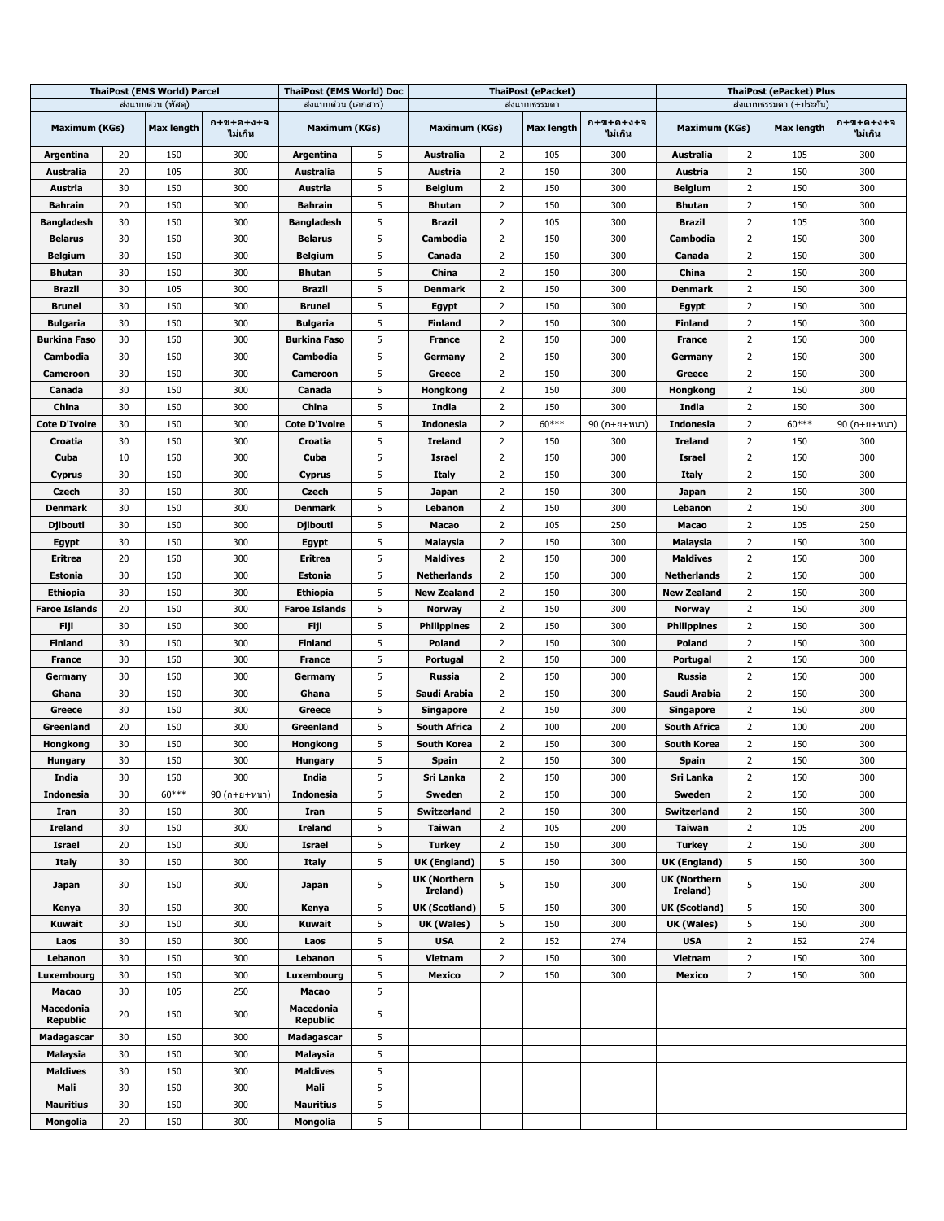|                                     | <b>ThaiPost (EMS World) Parcel</b> |                   |                      | <b>ThaiPost (EMS World) Doc</b>     |   | <b>ThaiPost (ePacket)</b>       |                |              |                      | <b>ThaiPost (ePacket) Plus</b>  |                |                        |                      |
|-------------------------------------|------------------------------------|-------------------|----------------------|-------------------------------------|---|---------------------------------|----------------|--------------|----------------------|---------------------------------|----------------|------------------------|----------------------|
|                                     |                                    | ส่งแบบด่วน (พัสด) |                      | ส่งแบบด่วน (เอกสาร)                 |   |                                 |                | ส่งแบบธรรมดา |                      |                                 |                | ส่งแบบธรรมดา (+ประกัน) |                      |
| Maximum (KGs)                       |                                    | <b>Max length</b> | ก+ข+ค+ง+จ<br>ไม่เกิน | Maximum (KGs)                       |   | Maximum (KGs)                   |                | Max length   | ก+ข+ค+ง+จ<br>ไม่เกิน | Maximum (KGs)                   |                | <b>Max length</b>      | ก+ข+ค+ง+จ<br>ไม่เกิน |
| Argentina                           | 20                                 | 150               | 300                  | Argentina                           | 5 | Australia                       | 2              | 105          | 300                  | Australia                       | 2              | 105                    | 300                  |
| Australia                           | 20                                 | 105               | 300                  | Australia                           | 5 | Austria                         | 2              | 150          | 300                  | Austria                         | 2              | 150                    | 300                  |
| Austria                             | 30                                 | 150               | 300                  | Austria                             | 5 | <b>Belgium</b>                  | $\overline{2}$ | 150          | 300                  | Belgium                         | $\overline{2}$ | 150                    | 300                  |
| <b>Bahrain</b>                      | 20                                 | 150               | 300                  | Bahrain                             | 5 | <b>Bhutan</b>                   | $\overline{2}$ | 150          | 300                  | <b>Bhutan</b>                   | $\overline{2}$ | 150                    | 300                  |
| <b>Bangladesh</b>                   | 30                                 | 150               | 300                  | <b>Bangladesh</b>                   | 5 | Brazil                          | $\overline{2}$ | 105          | 300                  | <b>Brazil</b>                   | 2              | 105                    | 300                  |
| <b>Belarus</b>                      | 30                                 | 150               | 300                  | Belarus                             | 5 | Cambodia                        | 2              | 150          | 300                  | Cambodia                        | 2              | 150                    | 300                  |
| Belgium                             | 30                                 | 150               | 300                  | Belgium                             | 5 | Canada                          | $\overline{2}$ | 150          | 300                  | Canada                          | $\overline{2}$ | 150                    | 300                  |
| Bhutan                              | 30                                 | 150               | 300                  | <b>Bhutan</b>                       | 5 | China                           | $\overline{2}$ | 150          | 300                  | China                           | $\overline{2}$ | 150                    | 300                  |
| Brazil                              | 30                                 | 105               | 300                  | Brazil                              | 5 | Denmark                         | $\overline{2}$ | 150          | 300                  | <b>Denmark</b>                  | 2              | 150                    | 300                  |
| <b>Brunei</b>                       | 30                                 | 150               | 300                  | Brunei                              | 5 | Egypt                           | 2              | 150          | 300                  | Egypt                           | 2              | 150                    | 300                  |
| Bulgaria                            | 30                                 | 150               | 300                  | Bulgaria                            | 5 | <b>Finland</b>                  | $\overline{2}$ | 150          | 300                  | <b>Finland</b>                  | $\overline{2}$ | 150                    | 300                  |
| Burkina Faso                        | 30                                 | 150               | 300                  | Burkina Faso                        | 5 | <b>France</b>                   | 2              | 150          | 300                  | France                          | 2              | 150                    | 300                  |
| Cambodia                            | 30                                 | 150               | 300                  | Cambodia                            | 5 | Germany                         | $\overline{2}$ | 150          | 300                  | Germany                         | 2              | 150                    | 300                  |
| <b>Cameroon</b>                     | 30                                 | 150               | 300                  | Cameroon                            | 5 | Greece                          | $\overline{2}$ | 150          | 300                  | Greece                          | $\overline{2}$ | 150                    | 300                  |
| Canada                              | 30                                 | 150               | 300                  | Canada                              | 5 | Hongkong                        | 2              | 150          | 300                  | Hongkong                        | $\overline{2}$ | 150                    | 300                  |
| China                               | 30                                 | 150               | 300                  | China                               | 5 | India                           | $\overline{2}$ | 150          | 300                  | India                           | 2              | 150                    | 300                  |
| <b>Cote D'Ivoire</b>                | 30                                 | 150               | 300                  | <b>Cote D'Ivoire</b>                | 5 | <b>Indonesia</b>                | 2              | $60***$      | 90 (ก+ย+หนา)         | <b>Indonesia</b>                | 2              | $60***$                | 90 (ก+ย+หนา)         |
| Croatia                             | 30                                 | 150               | 300                  | Croatia                             | 5 | <b>Ireland</b>                  | 2              | 150          | 300                  | <b>Ireland</b>                  | $\overline{2}$ | 150                    | 300                  |
| Cuba                                | 10                                 | 150               | 300                  | Cuba                                | 5 | Israel                          | $\overline{2}$ | 150          | 300                  | Israel                          | $\overline{2}$ | 150                    | 300                  |
| Cyprus                              | 30                                 | 150               | 300                  | Cyprus                              | 5 | Italy                           | $\overline{2}$ | 150          | 300                  | Italy                           | $\overline{2}$ | 150                    | 300                  |
| Czech                               | 30                                 | 150               | 300                  | Czech                               | 5 | Japan                           | $\overline{2}$ | 150          | 300                  | <b>Japan</b>                    | $\overline{2}$ | 150                    | 300                  |
| <b>Denmark</b>                      | 30                                 | 150               | 300                  | Denmark                             | 5 | Lebanon                         | $\overline{2}$ | 150          | 300                  | Lebanon                         | $\overline{2}$ | 150                    | 300                  |
| Djibouti                            | 30                                 | 150               | 300                  | Djibouti                            | 5 | Macao                           | 2              | 105          | 250                  | Macao                           | 2              | 105                    | 250                  |
| Egypt                               | 30                                 | 150               | 300                  | Egypt                               | 5 | Malaysia                        | 2              | 150          | 300                  | Malaysia                        | 2              | 150                    | 300                  |
| Eritrea                             | 20                                 | 150               | 300                  | Eritrea                             | 5 | <b>Maldives</b>                 | 2              | 150          | 300                  | Maldives                        | $\overline{2}$ | 150                    | 300                  |
| Estonia                             | 30                                 | 150               | 300                  | <b>Estonia</b>                      | 5 | <b>Netherlands</b>              | 2              | 150          | 300                  | <b>Netherlands</b>              | 2              | 150                    | 300                  |
| <b>Ethiopia</b>                     | 30                                 | 150               | 300                  | <b>Ethiopia</b>                     | 5 | <b>New Zealand</b>              | 2              | 150          | 300                  | New Zealand                     | $\overline{2}$ | 150                    | 300                  |
| Faroe Islands                       | 20                                 | 150               | 300                  | <b>Faroe Islands</b>                | 5 | Norway                          | 2              | 150          | 300                  | Norway                          | $\overline{2}$ | 150                    | 300                  |
| Fiji                                | 30                                 | 150               | 300                  | Fiji                                | 5 | <b>Philippines</b>              | 2              | 150          | 300                  | Philippines                     | $\overline{2}$ | 150                    | 300                  |
| <b>Finland</b>                      | 30                                 | 150               | 300                  | <b>Finland</b>                      | 5 | Poland                          | $\overline{2}$ | 150          | 300                  | Poland                          | 2              | 150                    | 300                  |
| <b>France</b>                       | 30                                 | 150               | 300                  | <b>France</b>                       | 5 | Portugal                        | 2              | 150          | 300                  | Portugal                        | 2              | 150                    | 300                  |
| Germany                             | 30                                 | 150               | 300                  | Germany                             | 5 | Russia                          | 2              | 150          | 300                  | <b>Russia</b>                   | $\overline{2}$ | 150                    | 300                  |
| Ghana                               | 30                                 | 150               | 300                  | Ghana                               | 5 | Saudi Arabia                    | 2              | 150          | 300                  | Saudi Arabia                    | $\overline{2}$ | 150                    | 300                  |
| Greece                              | 30                                 | 150               | 300                  | Greece                              | 5 | Singapore                       | 2              | 150          | 300                  | Singapore                       | 2              | 150                    | 300                  |
| Greenland                           | 20                                 | 150               | 300                  | Greenland                           | 5 | <b>South Africa</b>             | 2              | 100          | 200                  | <b>South Africa</b>             | 2              | 100                    | 200                  |
| Hongkong                            | 30                                 | 150               | 300                  | Hongkong                            | 5 | <b>South Korea</b>              | 2              | 150          | 300                  | South Korea                     | $\overline{2}$ | 150                    | 300                  |
| Hungary                             | 30                                 | 150               | 300                  | Hungary                             | 5 | Spain                           | $\overline{2}$ | 150          | 300                  | Spain                           | $\overline{2}$ | 150                    | 300                  |
| <b>India</b>                        | 30                                 | 150               | 300                  | <b>India</b>                        | 5 | Sri Lanka                       | $\overline{2}$ | 150          | 300                  | Sri Lanka                       | $\overline{2}$ | 150                    | 300                  |
| <b>Indonesia</b>                    | 30                                 | $60***$           | 90 (ก+ย+หนา)         | <b>Indonesia</b>                    | 5 | Sweden                          | $\overline{2}$ | 150          | 300                  | Sweden                          | $\overline{2}$ | 150                    | 300                  |
| Iran                                | 30                                 | 150               | 300                  | Iran                                | 5 | Switzerland                     | 2              | 150          | 300                  | Switzerland                     | $\overline{2}$ | 150                    | 300                  |
| <b>Ireland</b>                      | 30                                 | 150               | 300                  | <b>Ireland</b>                      | 5 | <b>Taiwan</b>                   | $\overline{2}$ | 105          | 200                  | <b>Taiwan</b>                   | $\overline{2}$ | 105                    | 200                  |
| Israel                              | 20                                 | 150               | 300                  | <b>Israel</b>                       | 5 | <b>Turkey</b>                   | $\overline{2}$ | 150          | 300                  | <b>Turkey</b>                   | $\overline{2}$ | 150                    | 300                  |
| Italy                               | 30                                 | 150               | 300                  | <b>Italy</b>                        | 5 | UK (England)                    | 5              | 150          | 300                  | UK (England)                    | 5              | 150                    | 300                  |
| <b>Japan</b>                        | 30                                 | 150               | 300                  | Japan                               | 5 | <b>UK (Northern</b><br>Ireland) | 5              | 150          | 300                  | <b>UK (Northern</b><br>Ireland) | 5              | 150                    | 300                  |
| Kenya                               | 30                                 | 150               | 300                  | Kenya                               | 5 | UK (Scotland)                   | 5              | 150          | 300                  | <b>UK (Scotland)</b>            | 5              | 150                    | 300                  |
| Kuwait                              | 30                                 | 150               | 300                  | Kuwait                              | 5 | UK (Wales)                      | 5              | 150          | 300                  | UK (Wales)                      | 5              | 150                    | 300                  |
| Laos                                | 30                                 | 150               | 300                  | Laos                                | 5 | <b>USA</b>                      | $\overline{2}$ | 152          | 274                  | <b>USA</b>                      | $\overline{2}$ | 152                    | 274                  |
| Lebanon                             | 30                                 | 150               | 300                  | Lebanon                             | 5 | Vietnam                         | 2              | 150          | 300                  | Vietnam                         | $\overline{2}$ | 150                    | 300                  |
| Luxembourg                          | 30                                 | 150               | 300                  | Luxembourg                          | 5 | Mexico                          | $\overline{2}$ | 150          | 300                  | Mexico                          | $\overline{2}$ | 150                    | 300                  |
| Macao                               | 30                                 | 105               | 250                  | Macao                               | 5 |                                 |                |              |                      |                                 |                |                        |                      |
| <b>Macedonia</b><br><b>Republic</b> | 20                                 | 150               | 300                  | <b>Macedonia</b><br><b>Republic</b> | 5 |                                 |                |              |                      |                                 |                |                        |                      |
| Madagascar                          | 30                                 | 150               | 300                  | Madagascar                          | 5 |                                 |                |              |                      |                                 |                |                        |                      |
| Malaysia                            | 30                                 | 150               | 300                  | Malaysia                            | 5 |                                 |                |              |                      |                                 |                |                        |                      |
| <b>Maldives</b>                     | 30                                 | 150               | 300                  | Maldives                            | 5 |                                 |                |              |                      |                                 |                |                        |                      |
| Mali                                | 30                                 | 150               | 300                  | Mali                                | 5 |                                 |                |              |                      |                                 |                |                        |                      |
| <b>Mauritius</b>                    | 30                                 | 150               | 300                  | <b>Mauritius</b>                    | 5 |                                 |                |              |                      |                                 |                |                        |                      |
| Mongolia                            | 20                                 | 150               | 300                  | Mongolia                            | 5 |                                 |                |              |                      |                                 |                |                        |                      |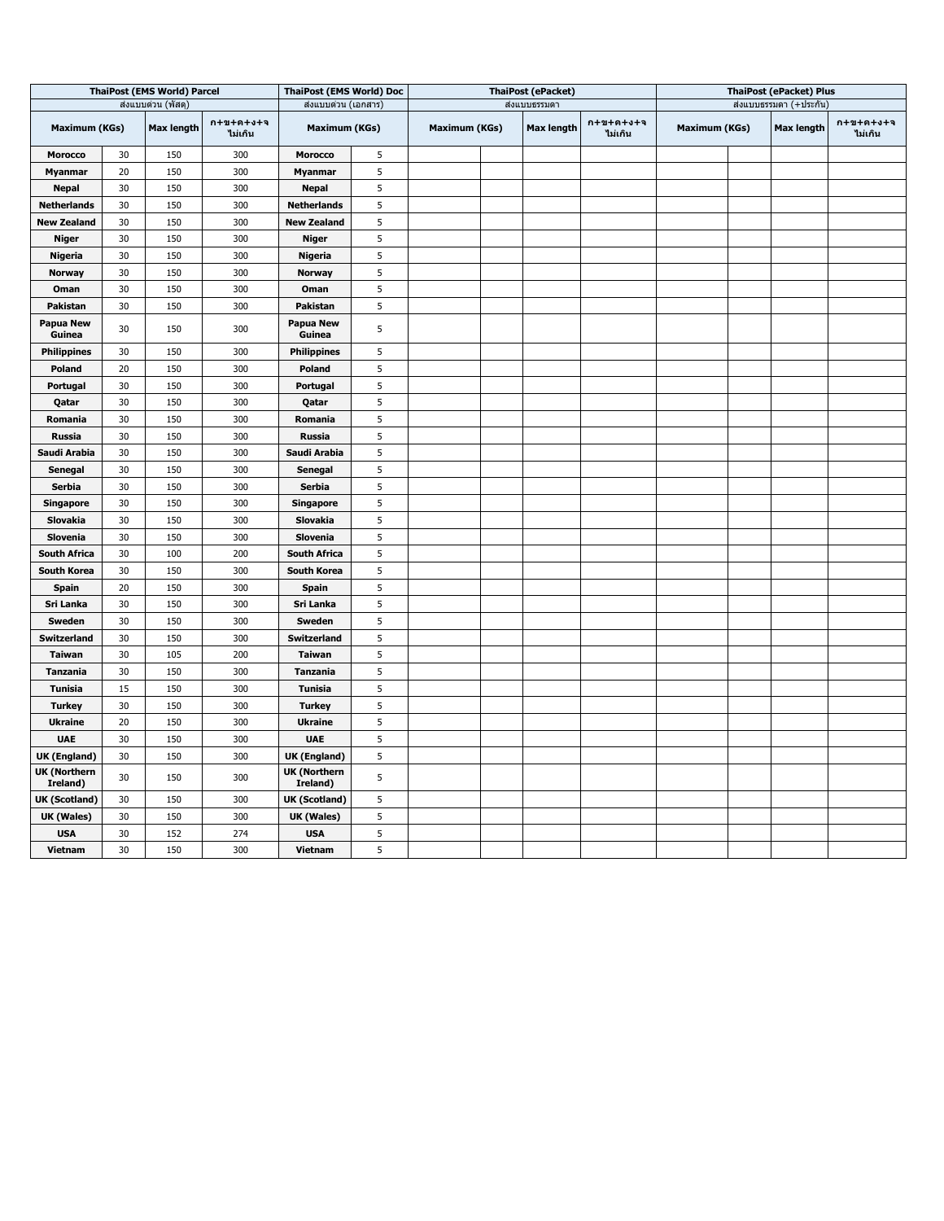| <b>ThaiPost (EMS World) Parcel</b> |    |                    | <b>ThaiPost (EMS World) Doc</b> |                                 |   | <b>ThaiPost (ePacket)</b> |                      | <b>ThaiPost (ePacket) Plus</b> |                        |                      |  |                   |                                |
|------------------------------------|----|--------------------|---------------------------------|---------------------------------|---|---------------------------|----------------------|--------------------------------|------------------------|----------------------|--|-------------------|--------------------------------|
|                                    |    | ส่งแบบด่วน (พัสดุ) |                                 | ส่งแบบด่วน (เอกสาร)             |   |                           | ส่งแบบธรรมดา         |                                | ส่งแบบธรรมดา (+ประกัน) |                      |  |                   |                                |
| <b>Maximum (KGs)</b>               |    | <b>Max length</b>  | $n+2+9+3+9$<br>ไม่เกิน          | <b>Maximum (KGs)</b>            |   |                           | <b>Maximum (KGs)</b> |                                | ก+ข+ค+ง+จ<br>ไม่เกิน   | <b>Maximum (KGs)</b> |  | <b>Max length</b> | $n + 2 + n + 3 + 3$<br>ไม่เกิน |
| Morocco                            | 30 | 150                | 300                             | Morocco                         | 5 |                           |                      |                                |                        |                      |  |                   |                                |
| <b>Myanmar</b>                     | 20 | 150                | 300                             | Myanmar                         | 5 |                           |                      |                                |                        |                      |  |                   |                                |
| <b>Nepal</b>                       | 30 | 150                | 300                             | <b>Nepal</b>                    | 5 |                           |                      |                                |                        |                      |  |                   |                                |
| <b>Netherlands</b>                 | 30 | 150                | 300                             | <b>Netherlands</b>              | 5 |                           |                      |                                |                        |                      |  |                   |                                |
| New Zealand                        | 30 | 150                | 300                             | <b>New Zealand</b>              | 5 |                           |                      |                                |                        |                      |  |                   |                                |
| <b>Niger</b>                       | 30 | 150                | 300                             | <b>Niger</b>                    | 5 |                           |                      |                                |                        |                      |  |                   |                                |
| Nigeria                            | 30 | 150                | 300                             | <b>Nigeria</b>                  | 5 |                           |                      |                                |                        |                      |  |                   |                                |
| <b>Norway</b>                      | 30 | 150                | 300                             | <b>Norway</b>                   | 5 |                           |                      |                                |                        |                      |  |                   |                                |
| Oman                               | 30 | 150                | 300                             | Oman                            | 5 |                           |                      |                                |                        |                      |  |                   |                                |
| Pakistan                           | 30 | 150                | 300                             | Pakistan                        | 5 |                           |                      |                                |                        |                      |  |                   |                                |
| <b>Papua New</b><br>Guinea         | 30 | 150                | 300                             | <b>Papua New</b><br>Guinea      | 5 |                           |                      |                                |                        |                      |  |                   |                                |
| <b>Philippines</b>                 | 30 | 150                | 300                             | <b>Philippines</b>              | 5 |                           |                      |                                |                        |                      |  |                   |                                |
| Poland                             | 20 | 150                | 300                             | Poland                          | 5 |                           |                      |                                |                        |                      |  |                   |                                |
| Portugal                           | 30 | 150                | 300                             | Portugal                        | 5 |                           |                      |                                |                        |                      |  |                   |                                |
| Qatar                              | 30 | 150                | 300                             | Qatar                           | 5 |                           |                      |                                |                        |                      |  |                   |                                |
| Romania                            | 30 | 150                | 300                             | Romania                         | 5 |                           |                      |                                |                        |                      |  |                   |                                |
| <b>Russia</b>                      | 30 | 150                | 300                             | <b>Russia</b>                   | 5 |                           |                      |                                |                        |                      |  |                   |                                |
| Saudi Arabia                       | 30 | 150                | 300                             | Saudi Arabia                    | 5 |                           |                      |                                |                        |                      |  |                   |                                |
| Senegal                            | 30 | 150                | 300                             | Senegal                         | 5 |                           |                      |                                |                        |                      |  |                   |                                |
| Serbia                             | 30 | 150                | 300                             | Serbia                          | 5 |                           |                      |                                |                        |                      |  |                   |                                |
| <b>Singapore</b>                   | 30 | 150                | 300                             | <b>Singapore</b>                | 5 |                           |                      |                                |                        |                      |  |                   |                                |
| Slovakia                           | 30 | 150                | 300                             | Slovakia                        | 5 |                           |                      |                                |                        |                      |  |                   |                                |
| Slovenia                           | 30 | 150                | 300                             | Slovenia                        | 5 |                           |                      |                                |                        |                      |  |                   |                                |
| <b>South Africa</b>                | 30 | 100                | 200                             | <b>South Africa</b>             | 5 |                           |                      |                                |                        |                      |  |                   |                                |
| South Korea                        | 30 | 150                | 300                             | South Korea                     | 5 |                           |                      |                                |                        |                      |  |                   |                                |
| Spain                              | 20 | 150                | 300                             | <b>Spain</b>                    | 5 |                           |                      |                                |                        |                      |  |                   |                                |
| Sri Lanka                          | 30 | 150                | 300                             | Sri Lanka                       | 5 |                           |                      |                                |                        |                      |  |                   |                                |
| Sweden                             | 30 | 150                | 300                             | Sweden                          | 5 |                           |                      |                                |                        |                      |  |                   |                                |
| <b>Switzerland</b>                 | 30 | 150                | 300                             | <b>Switzerland</b>              | 5 |                           |                      |                                |                        |                      |  |                   |                                |
| <b>Taiwan</b>                      | 30 | 105                | 200                             | <b>Taiwan</b>                   | 5 |                           |                      |                                |                        |                      |  |                   |                                |
| <b>Tanzania</b>                    | 30 | 150                | 300                             | <b>Tanzania</b>                 | 5 |                           |                      |                                |                        |                      |  |                   |                                |
| <b>Tunisia</b>                     | 15 | 150                | 300                             | <b>Tunisia</b>                  | 5 |                           |                      |                                |                        |                      |  |                   |                                |
| <b>Turkey</b>                      | 30 | 150                | 300                             | <b>Turkey</b>                   | 5 |                           |                      |                                |                        |                      |  |                   |                                |
| <b>Ukraine</b>                     | 20 | 150                | 300                             | <b>Ukraine</b>                  | 5 |                           |                      |                                |                        |                      |  |                   |                                |
| <b>UAE</b>                         | 30 | 150                | 300                             | <b>UAE</b>                      | 5 |                           |                      |                                |                        |                      |  |                   |                                |
| <b>UK (England)</b>                | 30 | 150                | 300                             | UK (England)                    | 5 |                           |                      |                                |                        |                      |  |                   |                                |
| <b>UK (Northern</b><br>Ireland)    | 30 | 150                | 300                             | <b>UK (Northern</b><br>Ireland) | 5 |                           |                      |                                |                        |                      |  |                   |                                |
| UK (Scotland)                      | 30 | 150                | 300                             | UK (Scotland)                   | 5 |                           |                      |                                |                        |                      |  |                   |                                |
| UK (Wales)                         | 30 | 150                | 300                             | UK (Wales)                      | 5 |                           |                      |                                |                        |                      |  |                   |                                |
| <b>USA</b>                         | 30 | 152                | 274                             | <b>USA</b>                      | 5 |                           |                      |                                |                        |                      |  |                   |                                |
| Vietnam                            | 30 | 150                | 300                             | Vietnam                         | 5 |                           |                      |                                |                        |                      |  |                   |                                |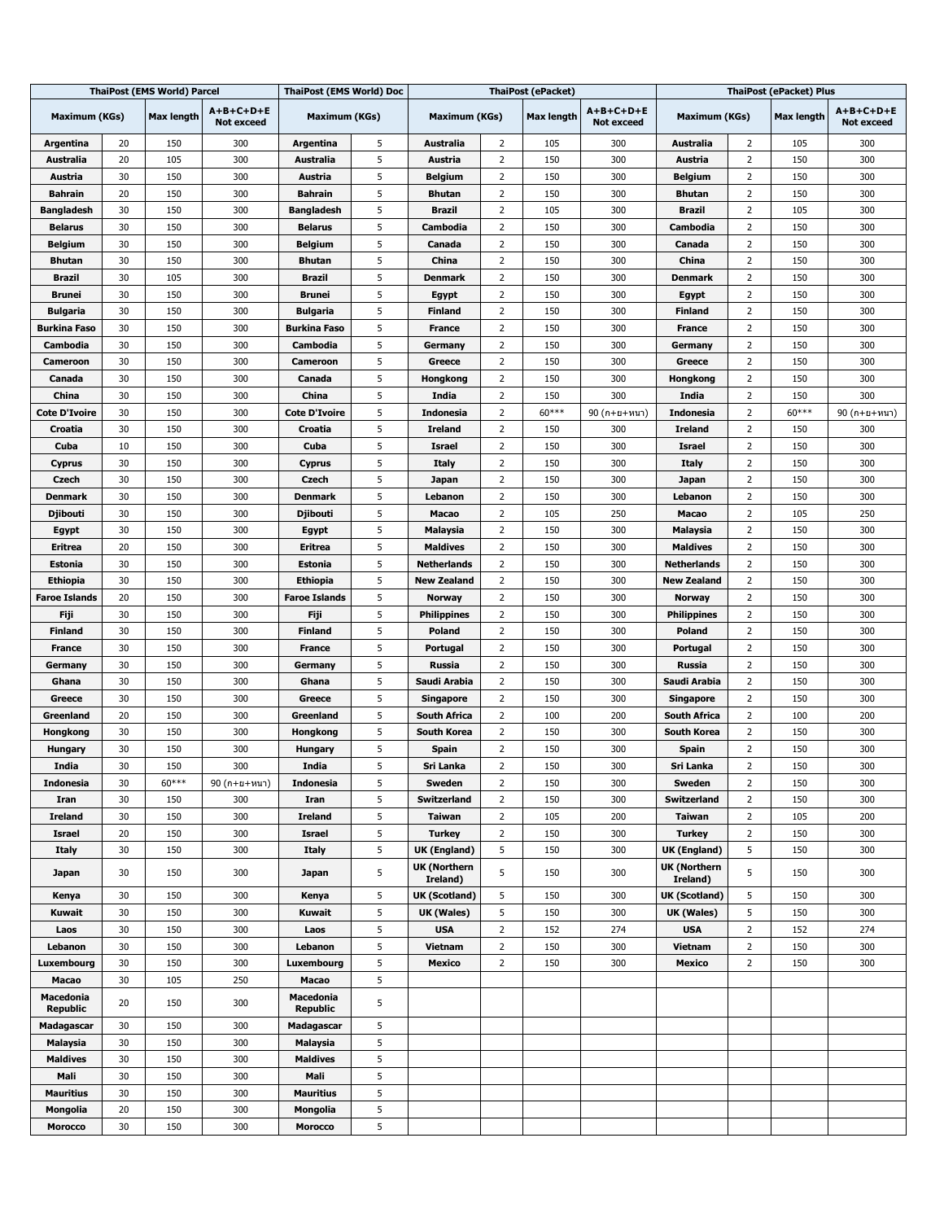|                                     |          | <b>ThaiPost (EMS World) Parcel</b> |                                | <b>ThaiPost (EMS World) Doc</b> |        |                                 |                     | <b>ThaiPost (ePacket)</b> |                                  | <b>ThaiPost (ePacket) Plus</b>      |                |                   |                                  |
|-------------------------------------|----------|------------------------------------|--------------------------------|---------------------------------|--------|---------------------------------|---------------------|---------------------------|----------------------------------|-------------------------------------|----------------|-------------------|----------------------------------|
| Maximum (KGs)                       |          | <b>Max length</b>                  | A+B+C+D+E<br><b>Not exceed</b> | Maximum (KGs)                   |        | Maximum (KGs)                   |                     | <b>Max length</b>         | $A+B+C+D+E$<br><b>Not exceed</b> | Maximum (KGs)                       |                | <b>Max length</b> | $A+B+C+D+E$<br><b>Not exceed</b> |
| Argentina                           | 20       | 150                                | 300                            | Argentina                       | 5      | Australia                       | 2                   | 105                       | 300                              | Australia                           | 2              | 105               | 300                              |
| Australia                           | 20       | 105                                | 300                            | Australia                       | 5      | Austria                         | 2                   | 150                       | 300                              | Austria                             | $\overline{2}$ | 150               | 300                              |
| Austria                             | 30       | 150                                | 300                            | Austria                         | 5      | <b>Belgium</b>                  | 2                   | 150                       | 300                              | <b>Belgium</b>                      | $\overline{2}$ | 150               | 300                              |
| <b>Bahrain</b>                      | 20       | 150                                | 300                            | Bahrain                         | 5      | <b>Bhutan</b>                   | 2                   | 150                       | 300                              | Bhutan                              | 2              | 150               | 300                              |
| Bangladesh                          | 30       | 150                                | 300                            | Bangladesh                      | 5      | Brazil                          | 2                   | 105                       | 300                              | Brazil                              | 2              | 105               | 300                              |
| <b>Belarus</b>                      | 30       | 150                                | 300                            | Belarus                         | 5      | Cambodia                        | 2                   | 150                       | 300                              | Cambodia                            | 2              | 150               | 300                              |
| <b>Belgium</b>                      | 30       | 150                                | 300                            | Belgium                         | 5      | Canada                          | 2                   | 150                       | 300                              | Canada                              | 2              | 150               | 300                              |
| <b>Bhutan</b>                       | 30       | 150                                | 300                            | <b>Bhutan</b>                   | 5      | China                           | 2                   | 150                       | 300                              | China                               | 2              | 150               | 300                              |
| <b>Brazil</b>                       | 30       | 105                                | 300                            | Brazil                          | 5      | Denmark                         | 2                   | 150                       | 300                              | Denmark                             | 2              | 150               | 300                              |
| Brunei                              | 30       | 150                                | 300                            | Brunei                          | 5      | Egypt                           | 2                   | 150                       | 300                              | Egypt                               | 2              | 150               | 300                              |
| <b>Bulgaria</b>                     | 30       | 150                                | 300                            | Bulgaria                        | 5      | <b>Finland</b>                  | 2                   | 150                       | 300                              | <b>Finland</b>                      | 2              | 150               | 300                              |
| Burkina Faso                        | 30       | 150                                | 300                            | <b>Burkina Faso</b>             | 5      | <b>France</b>                   | 2                   | 150                       | 300                              | <b>France</b>                       | $\overline{2}$ | 150               | 300                              |
| Cambodia                            | 30       | 150                                | 300                            | Cambodia                        | 5      | Germany                         | 2                   | 150                       | 300                              | Germany                             | 2              | 150               | 300                              |
| Cameroon                            | 30       | 150                                | 300                            | Cameroon                        | 5      | Greece                          | 2                   | 150                       | 300                              | Greece                              | 2              | 150               | 300                              |
| Canada                              | 30       | 150                                | 300                            | Canada                          | 5      | Hongkong                        | 2                   | 150                       | 300                              | Hongkong                            | 2              | 150               | 300                              |
| China                               | 30       | 150                                | 300                            | China                           | 5      | <b>India</b>                    | 2                   | 150                       | 300                              | <b>India</b>                        | 2              | 150               | 300                              |
| <b>Cote D'Ivoire</b>                | 30       | 150                                | 300                            | <b>Cote D'Ivoire</b>            | 5      | Indonesia                       | 2                   | 60***                     | 90 (ก+ย+หนา)                     | Indonesia                           | 2              | $60***$           | 90 (ก+ย+หนา)                     |
| Croatia                             | 30       | 150                                | 300                            | Croatia                         | 5      | <b>Ireland</b>                  | 2                   | 150                       | 300                              | <b>Ireland</b>                      | 2              | 150               | 300                              |
| Cuba                                | 10<br>30 | 150                                | 300                            | Cuba                            | 5      | Israel                          | $\overline{2}$      | 150                       | 300                              | Israel                              | 2<br>2         | 150               | 300                              |
| <b>Cyprus</b>                       | 30       | 150                                | 300                            | Cyprus                          | 5<br>5 | Italy                           | $\overline{2}$<br>2 | 150                       | 300                              | Italy                               | 2              | 150               | 300                              |
| Czech<br>Denmark                    | 30       | 150<br>150                         | 300<br>300                     | Czech<br><b>Denmark</b>         | 5      | Japan<br>Lebanon                | $\overline{2}$      | 150<br>150                | 300<br>300                       | Japan<br>Lebanon                    | 2              | 150<br>150        | 300<br>300                       |
| Djibouti                            | 30       | 150                                | 300                            | Djibouti                        | 5      | Macao                           | $\overline{2}$      | 105                       | 250                              | Macao                               | 2              | 105               | 250                              |
| Egypt                               | 30       | 150                                | 300                            | Egypt                           | 5      | Malaysia                        | $\overline{2}$      | 150                       | 300                              | Malaysia                            | 2              | 150               | 300                              |
| Eritrea                             | 20       | 150                                | 300                            | Eritrea                         | 5      | Maldives                        | 2                   | 150                       | 300                              | <b>Maldives</b>                     | 2              | 150               | 300                              |
| <b>Estonia</b>                      | 30       | 150                                | 300                            | Estonia                         | 5      | <b>Netherlands</b>              | 2                   | 150                       | 300                              | Netherlands                         | 2              | 150               | 300                              |
| <b>Ethiopia</b>                     | 30       | 150                                | 300                            | Ethiopia                        | 5      | <b>New Zealand</b>              | 2                   | 150                       | 300                              | New Zealand                         | 2              | 150               | 300                              |
| Faroe Islands                       | 20       | 150                                | 300                            | <b>Faroe Islands</b>            | 5      | <b>Norway</b>                   | 2                   | 150                       | 300                              | <b>Norway</b>                       | 2              | 150               | 300                              |
| Fiji                                | 30       | 150                                | 300                            | Fiji                            | 5      | Philippines                     | 2                   | 150                       | 300                              | Philippines                         | 2              | 150               | 300                              |
| <b>Finland</b>                      | 30       | 150                                | 300                            | <b>Finland</b>                  | 5      | Poland                          | 2                   | 150                       | 300                              | Poland                              | 2              | 150               | 300                              |
| <b>France</b>                       | 30       | 150                                | 300                            | France                          | 5      | Portugal                        | $\overline{2}$      | 150                       | 300                              | Portugal                            | 2              | 150               | 300                              |
| Germany                             | 30       | 150                                | 300                            | Germany                         | 5      | Russia                          | 2                   | 150                       | 300                              | Russia                              | 2              | 150               | 300                              |
| Ghana                               | 30       | 150                                | 300                            | Ghana                           | 5      | Saudi Arabia                    | $\overline{2}$      | 150                       | 300                              | Saudi Arabia                        | 2              | 150               | 300                              |
| Greece                              | 30       | 150                                | 300                            | Greece                          | 5      | Singapore                       | $\overline{2}$      | 150                       | 300                              | <b>Singapore</b>                    | $\overline{2}$ | 150               | 300                              |
| Greenland                           | 20       | 150                                | 300                            | Greenland                       | 5      | <b>South Africa</b>             | 2                   | 100                       | 200                              | South Africa                        | 2              | 100               | 200                              |
| Hongkong                            | 30       | 150                                | 300                            | Hongkong                        | 5      | <b>South Korea</b>              | 2                   | 150                       | 300                              | South Korea                         | 2              | 150               | 300                              |
| Hungary                             | 30       | 150                                | 300                            | Hungary                         | 5      | Spain                           | 2                   | 150                       | 300                              | Spain                               | 2              | 150               | 300                              |
| <b>India</b>                        | 30       | 150                                | 300                            | India                           | 5      | Sri Lanka                       | 2                   | 150                       | 300                              | Sri Lanka                           | 2              | 150               | 300                              |
| <b>Indonesia</b>                    | 30       | 60***                              | 90 (ก+ย+หนา)                   | <b>Indonesia</b>                | 5      | Sweden                          | $\overline{2}$      | 150                       | 300                              | Sweden                              | $\overline{2}$ | 150               | 300                              |
| Iran                                | 30       | 150                                | 300                            | Iran                            | 5      | <b>Switzerland</b>              | $\overline{2}$      | 150                       | 300                              | <b>Switzerland</b>                  | $\overline{2}$ | 150               | 300                              |
| <b>Ireland</b>                      | 30       | 150                                | 300                            | <b>Ireland</b>                  | 5      | Taiwan                          | $\overline{2}$      | 105                       | 200                              | <b>Taiwan</b>                       | $\overline{2}$ | 105               | 200                              |
| <b>Israel</b>                       | 20       | 150                                | 300                            | <b>Israel</b>                   | 5      | <b>Turkey</b>                   | $\overline{2}$      | 150                       | 300                              | <b>Turkey</b>                       | $\overline{2}$ | 150               | 300                              |
| <b>Italy</b>                        | 30       | 150                                | 300                            | <b>Italy</b>                    | 5      | UK (England)                    | 5                   | 150                       | 300                              | UK (England)<br><b>UK (Northern</b> | 5              | 150               | 300                              |
| Japan                               | 30       | 150                                | 300                            | Japan                           | 5      | <b>UK (Northern</b><br>Ireland) | 5                   | 150                       | 300                              | Ireland)                            | 5              | 150               | 300                              |
| Kenya                               | 30       | 150                                | 300                            | Kenya                           | 5      | <b>UK (Scotland)</b>            | 5                   | 150                       | 300                              | <b>UK (Scotland)</b>                | 5              | 150               | 300                              |
| Kuwait                              | 30       | 150                                | 300                            | Kuwait                          | 5      | UK (Wales)                      | 5                   | 150                       | 300                              | UK (Wales)                          | 5              | 150               | 300                              |
| Laos                                | 30       | 150                                | 300                            | Laos                            | 5      | <b>USA</b>                      | $\overline{2}$      | 152                       | 274                              | <b>USA</b>                          | $\overline{2}$ | 152               | 274                              |
| Lebanon                             | 30       | 150                                | 300                            | Lebanon                         | 5      | Vietnam                         | $\overline{2}$      | 150                       | 300                              | Vietnam                             | $\overline{2}$ | 150               | 300                              |
| Luxembourg                          | 30       | 150                                | 300                            | Luxembourg                      | 5      | <b>Mexico</b>                   | $\overline{2}$      | 150                       | 300                              | Mexico                              | $\overline{2}$ | 150               | 300                              |
| Macao                               | 30       | 105                                | 250                            | Macao                           | 5      |                                 |                     |                           |                                  |                                     |                |                   |                                  |
| <b>Macedonia</b><br><b>Republic</b> | 20       | 150                                | 300                            | Macedonia<br><b>Republic</b>    | 5      |                                 |                     |                           |                                  |                                     |                |                   |                                  |
| Madagascar                          | 30       | 150                                | 300                            | Madagascar                      | 5      |                                 |                     |                           |                                  |                                     |                |                   |                                  |
| <b>Malaysia</b>                     | 30       | 150                                | 300                            | <b>Malaysia</b>                 | 5      |                                 |                     |                           |                                  |                                     |                |                   |                                  |
| <b>Maldives</b>                     | 30       | 150                                | 300                            | <b>Maldives</b>                 | 5      |                                 |                     |                           |                                  |                                     |                |                   |                                  |
| Mali                                | 30       | 150                                | 300                            | Mali                            | 5      |                                 |                     |                           |                                  |                                     |                |                   |                                  |
| <b>Mauritius</b>                    | 30       | 150                                | 300                            | <b>Mauritius</b>                | 5      |                                 |                     |                           |                                  |                                     |                |                   |                                  |
| Mongolia                            | 20       | 150                                | 300                            | Mongolia                        | 5      |                                 |                     |                           |                                  |                                     |                |                   |                                  |
| Morocco                             | 30       | 150                                | 300                            | Morocco                         | 5      |                                 |                     |                           |                                  |                                     |                |                   |                                  |